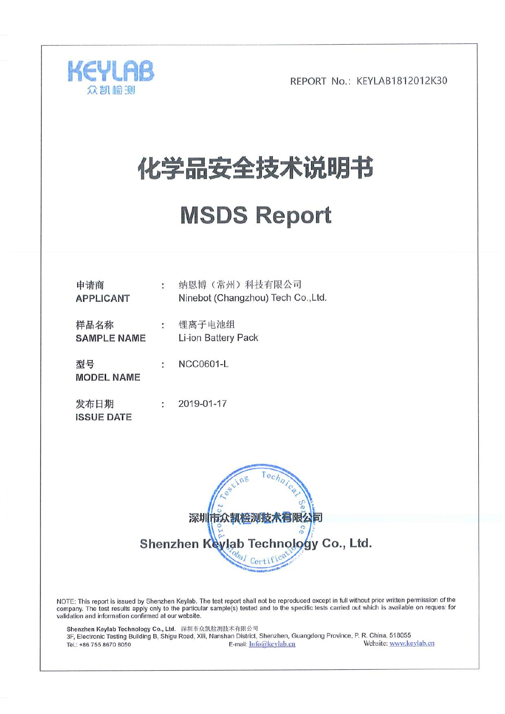

# 化学品安全技术说明书

## **MSDS Report**

| 申请商<br><b>APPLICANT</b>    | $\ddot{\cdot}$       | 纳恩博(常州)科技有限公司<br>Ninebot (Changzhou) Tech Co., Ltd. |
|----------------------------|----------------------|-----------------------------------------------------|
| 样品名称<br><b>SAMPLE NAME</b> | $\ddot{\phantom{0}}$ | 锂离子电池组<br>Li-ion Battery Pack                       |
| 型号<br><b>MODEL NAME</b>    | ÷                    | <b>NCC0601-L</b>                                    |
| 发布日期<br><b>ISSUE DATE</b>  | ÷                    | 2019-01-17                                          |



NOTE: This report is issued by Shenzhen Keylab. The test report shall not be reproduced except in full without prior written permission of the<br>company. The test results apply only to the particular sample(s) tested and to validation and information confirmed at our website.

Shenzhen Keylab Technology Co., Ltd. 深圳市众凯检测技术有限公司<br>3F, Electronic Testing Building B, Shigu Road, Xili, Nanshan District, Shenzhen, Guangdong Province, P. R. China, 518055 Website: www.keylab.cn E-mail: Info@keylab.cn Tel.: +86 755 8670 8050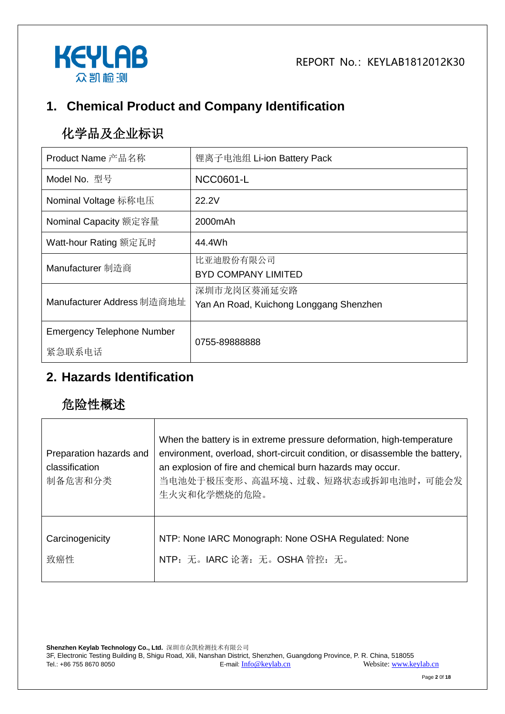

## **1. Chemical Product and Company Identification**

## 化学品及企业标识

| Product Name 产品名称                 | 锂离子电池组 Li-ion Battery Pack                             |  |
|-----------------------------------|--------------------------------------------------------|--|
| Model No. 型号                      | NCC0601-L                                              |  |
| Nominal Voltage 标称电压              | 22.2V                                                  |  |
| Nominal Capacity 额定容量             | 2000mAh                                                |  |
| Watt-hour Rating 额定瓦时             | 44.4Wh                                                 |  |
| Manufacturer 制造商                  | 比亚迪股份有限公司<br><b>BYD COMPANY LIMITED</b>                |  |
| Manufacturer Address 制造商地址        | 深圳市龙岗区葵涌延安路<br>Yan An Road, Kuichong Longgang Shenzhen |  |
| <b>Emergency Telephone Number</b> | 0755-89888888                                          |  |
| 紧急联系电话                            |                                                        |  |

#### **2. Hazards Identification**

## 危险性概述

| Preparation hazards and<br>classification<br>制备危害和分类 | When the battery is in extreme pressure deformation, high-temperature<br>environment, overload, short-circuit condition, or disassemble the battery,<br>an explosion of fire and chemical burn hazards may occur.<br>当电池处于极压变形、高温环境、过载、短路状态或拆卸电池时, 可能会发<br>生火灾和化学燃烧的危险。 |  |
|------------------------------------------------------|-------------------------------------------------------------------------------------------------------------------------------------------------------------------------------------------------------------------------------------------------------------------------|--|
| Carcinogenicity                                      | NTP: None IARC Monograph: None OSHA Regulated: None                                                                                                                                                                                                                     |  |
| 致癌性                                                  | NTP: 无。IARC 论著: 无。OSHA 管控: 无。                                                                                                                                                                                                                                           |  |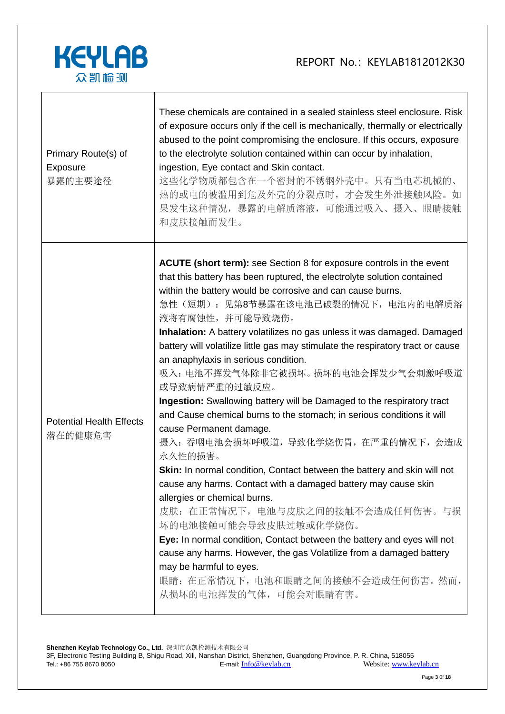

| Primary Route(s) of<br>Exposure<br>暴露的主要途径 | These chemicals are contained in a sealed stainless steel enclosure. Risk<br>of exposure occurs only if the cell is mechanically, thermally or electrically<br>abused to the point compromising the enclosure. If this occurs, exposure<br>to the electrolyte solution contained within can occur by inhalation,<br>ingestion, Eye contact and Skin contact.<br>这些化学物质都包含在一个密封的不锈钢外壳中。只有当电芯机械的、<br>热的或电的被滥用到危及外壳的分裂点时, 才会发生外泄接触风险。如<br>果发生这种情况,暴露的电解质溶液,可能通过吸入、摄入、眼睛接触<br>和皮肤接触而发生。                                                                                                                                                                                                                                                                                                                                                                                                                                                                                                                                                                                                                                                                                                                                                                                     |
|--------------------------------------------|-------------------------------------------------------------------------------------------------------------------------------------------------------------------------------------------------------------------------------------------------------------------------------------------------------------------------------------------------------------------------------------------------------------------------------------------------------------------------------------------------------------------------------------------------------------------------------------------------------------------------------------------------------------------------------------------------------------------------------------------------------------------------------------------------------------------------------------------------------------------------------------------------------------------------------------------------------------------------------------------------------------------------------------------------------------------------------------------------------------------------------------------------------------------------------------------------------------------------------------------------------------------------|
| <b>Potential Health Effects</b><br>潜在的健康危害 | <b>ACUTE (short term):</b> see Section 8 for exposure controls in the event<br>that this battery has been ruptured, the electrolyte solution contained<br>within the battery would be corrosive and can cause burns.<br>急性(短期): 见第8节暴露在该电池已破裂的情况下, 电池内的电解质溶<br>液将有腐蚀性, 并可能导致烧伤。<br>Inhalation: A battery volatilizes no gas unless it was damaged. Damaged<br>battery will volatilize little gas may stimulate the respiratory tract or cause<br>an anaphylaxis in serious condition.<br>吸入: 电池不挥发气体除非它被损坏。损坏的电池会挥发少气会刺激呼吸道<br>或导致病情严重的过敏反应。<br>Ingestion: Swallowing battery will be Damaged to the respiratory tract<br>and Cause chemical burns to the stomach; in serious conditions it will<br>cause Permanent damage.<br>摄入: 吞咽电池会损坏呼吸道, 导致化学烧伤胃, 在严重的情况下, 会造成<br>永久性的损害。<br>Skin: In normal condition, Contact between the battery and skin will not<br>cause any harms. Contact with a damaged battery may cause skin<br>allergies or chemical burns.<br>皮肤: 在正常情况下, 电池与皮肤之间的接触不会造成任何伤害。与损<br>坏的电池接触可能会导致皮肤过敏或化学烧伤。<br>Eye: In normal condition, Contact between the battery and eyes will not<br>cause any harms. However, the gas Volatilize from a damaged battery<br>may be harmful to eyes.<br>眼睛: 在正常情况下, 电池和眼睛之间的接触不会造成任何伤害。然而,<br>从损坏的电池挥发的气体,可能会对眼睛有害。 |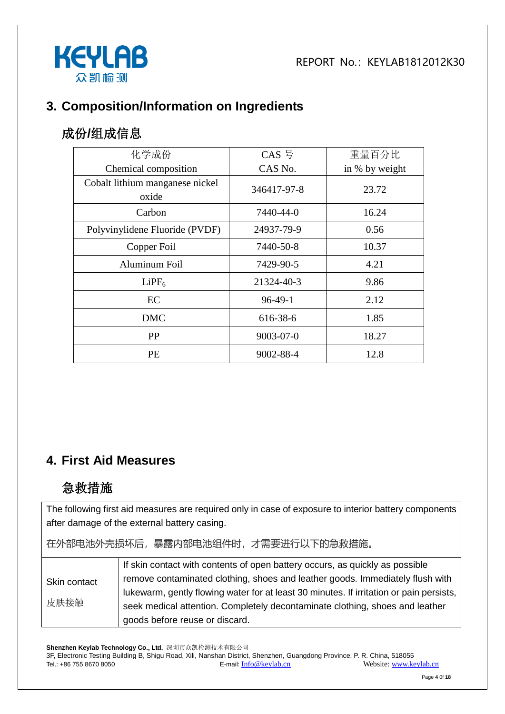

#### **3. Composition/Information on Ingredients**

#### 成份**/**组成信息

| 化学成份                                     | CAS <sup>—</sup> | 重量百分比          |
|------------------------------------------|------------------|----------------|
| Chemical composition                     | CAS No.          | in % by weight |
| Cobalt lithium manganese nickel<br>oxide | 346417-97-8      | 23.72          |
| Carbon                                   | 7440-44-0        | 16.24          |
| Polyvinylidene Fluoride (PVDF)           | 24937-79-9       | 0.56           |
| Copper Foil                              | 7440-50-8        | 10.37          |
| <b>Aluminum Foil</b>                     | 7429-90-5        | 4.21           |
| LiPF <sub>6</sub>                        | 21324-40-3       | 9.86           |
| EC                                       | $96-49-1$        | 2.12           |
| <b>DMC</b>                               | 616-38-6         | 1.85           |
| <b>PP</b>                                | $9003 - 07 - 0$  | 18.27          |
| <b>PE</b>                                | 9002-88-4        | 12.8           |

#### **4. First Aid Measures**

#### 急救措施

The following first aid measures are required only in case of exposure to interior battery components after damage of the external battery casing.

在外部电池外壳损坏后,暴露内部电池组件时,才需要进行以下的急救措施。

|                      | If skin contact with contents of open battery occurs, as quickly as possible            |
|----------------------|-----------------------------------------------------------------------------------------|
| Skin contact<br>皮肤接触 | remove contaminated clothing, shoes and leather goods. Immediately flush with           |
|                      | lukewarm, gently flowing water for at least 30 minutes. If irritation or pain persists, |
|                      | seek medical attention. Completely decontaminate clothing, shoes and leather            |
|                      | goods before reuse or discard.                                                          |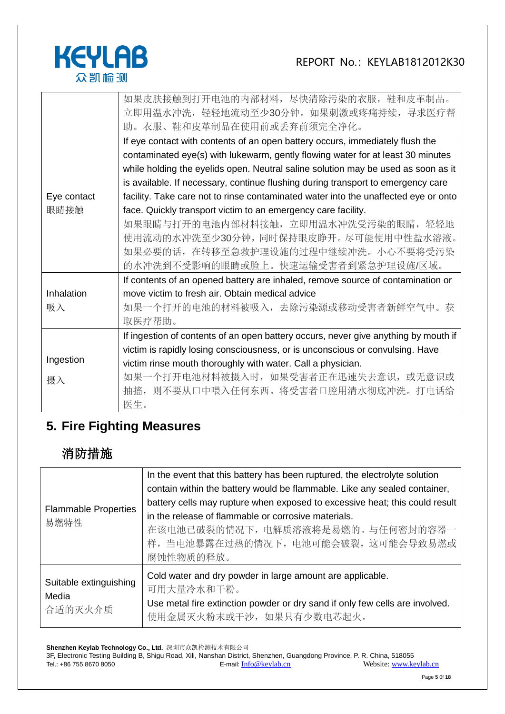

|             | 如果皮肤接触到打开电池的内部材料, 尽快清除污染的衣服, 鞋和皮革制品。                                                |  |  |  |  |  |
|-------------|-------------------------------------------------------------------------------------|--|--|--|--|--|
|             | 立即用温水冲洗, 轻轻地流动至少30分钟。如果刺激或疼痛持续, 寻求医疗帮                                               |  |  |  |  |  |
|             | 助。衣服、鞋和皮革制品在使用前或丢弃前须完全净化。                                                           |  |  |  |  |  |
|             | If eye contact with contents of an open battery occurs, immediately flush the       |  |  |  |  |  |
|             | contaminated eye(s) with lukewarm, gently flowing water for at least 30 minutes     |  |  |  |  |  |
|             | while holding the eyelids open. Neutral saline solution may be used as soon as it   |  |  |  |  |  |
|             | is available. If necessary, continue flushing during transport to emergency care    |  |  |  |  |  |
| Eye contact | facility. Take care not to rinse contaminated water into the unaffected eye or onto |  |  |  |  |  |
| 眼睛接触        | face. Quickly transport victim to an emergency care facility.                       |  |  |  |  |  |
|             | 如果眼睛与打开的电池内部材料接触, 立即用温水冲洗受污染的眼睛, 轻轻地                                                |  |  |  |  |  |
|             | 使用流动的水冲洗至少30分钟,同时保持眼皮睁开。尽可能使用中性盐水溶液。                                                |  |  |  |  |  |
|             | 如果必要的话, 在转移至急救护理设施的过程中继续冲洗。小心不要将受污染                                                 |  |  |  |  |  |
|             | 的水冲洗到不受影响的眼睛或脸上。快速运输受害者到紧急护理设施/区域。                                                  |  |  |  |  |  |
|             | If contents of an opened battery are inhaled, remove source of contamination or     |  |  |  |  |  |
| Inhalation  | move victim to fresh air. Obtain medical advice                                     |  |  |  |  |  |
| 吸入          | 如果一个打开的电池的材料被吸入,去除污染源或移动受害者新鲜空气中。获                                                  |  |  |  |  |  |
|             | 取医疗帮助。                                                                              |  |  |  |  |  |
|             | If ingestion of contents of an open battery occurs, never give anything by mouth if |  |  |  |  |  |
|             | victim is rapidly losing consciousness, or is unconscious or convulsing. Have       |  |  |  |  |  |
| Ingestion   | victim rinse mouth thoroughly with water. Call a physician.                         |  |  |  |  |  |
| 摄入          | 如果一个打开电池材料被摄入时, 如果受害者正在迅速失去意识, 或无意识或                                                |  |  |  |  |  |
|             | 则不要从口中喂入任何东西。将受害者口腔用清水彻底冲洗。打电话给<br>抽搐,                                              |  |  |  |  |  |
|             | 医生。                                                                                 |  |  |  |  |  |

### **5. Fire Fighting Measures**

## 消防措施

| <b>Flammable Properties</b><br>易燃特性        | In the event that this battery has been ruptured, the electrolyte solution<br>contain within the battery would be flammable. Like any sealed container,<br>battery cells may rupture when exposed to excessive heat; this could result<br>in the release of flammable or corrosive materials.<br>在该电池已破裂的情况下, 电解质溶液将是易燃的。与任何密封的容器一<br>样, 当电池暴露在过热的情况下, 电池可能会破裂, 这可能会导致易燃或<br>腐蚀性物质的释放。 |
|--------------------------------------------|----------------------------------------------------------------------------------------------------------------------------------------------------------------------------------------------------------------------------------------------------------------------------------------------------------------------------------------------------------------------------------------|
| Suitable extinguishing<br>Media<br>合适的灭火介质 | Cold water and dry powder in large amount are applicable.<br>可用大量冷水和干粉。<br>Use metal fire extinction powder or dry sand if only few cells are involved.<br>使用金属灭火粉末或干沙, 如果只有少数电芯起火。                                                                                                                                                                                                    |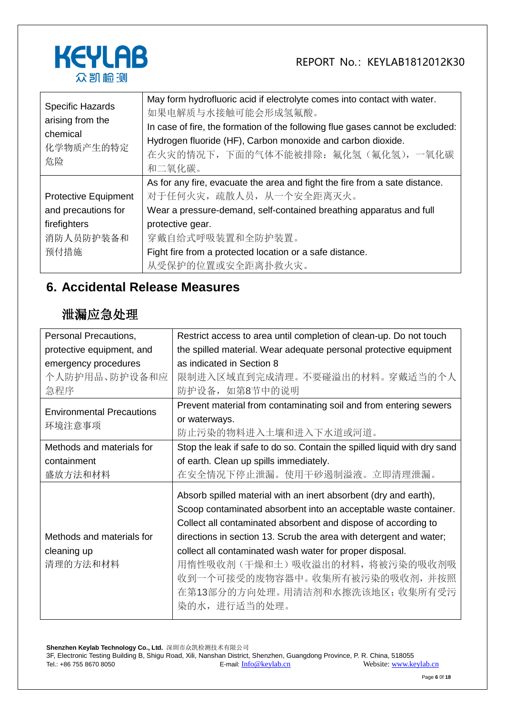

| <b>Specific Hazards</b><br>arising from the<br>chemical<br>化学物质产生的特定<br>危险 | May form hydrofluoric acid if electrolyte comes into contact with water.<br>如果电解质与水接触可能会形成氢氟酸。<br>In case of fire, the formation of the following flue gases cannot be excluded:<br>Hydrogen fluoride (HF), Carbon monoxide and carbon dioxide.<br>在火灾的情况下, 下面的气体不能被排除: 氟化氢(氟化氢), 一氧化碳<br>和二氧化碳。 |  |  |
|----------------------------------------------------------------------------|--------------------------------------------------------------------------------------------------------------------------------------------------------------------------------------------------------------------------------------------------------------------------------------------------|--|--|
| <b>Protective Equipment</b>                                                | As for any fire, evacuate the area and fight the fire from a sate distance.<br>对于任何火灾, 疏散人员, 从一个安全距离灭火。                                                                                                                                                                                          |  |  |
| and precautions for                                                        | Wear a pressure-demand, self-contained breathing apparatus and full                                                                                                                                                                                                                              |  |  |
| firefighters<br>消防人员防护装备和<br>预付措施                                          | protective gear.<br>穿戴自给式呼吸装置和全防护装置。<br>Fight fire from a protected location or a safe distance.                                                                                                                                                                                                 |  |  |
|                                                                            | 从受保护的位置或安全距离扑救火灾。                                                                                                                                                                                                                                                                                |  |  |

#### **6. Accidental Release Measures**

#### 泄漏应急处理

| Personal Precautions,            | Restrict access to area until completion of clean-up. Do not touch       |  |  |
|----------------------------------|--------------------------------------------------------------------------|--|--|
| protective equipment, and        | the spilled material. Wear adequate personal protective equipment        |  |  |
| emergency procedures             | as indicated in Section 8                                                |  |  |
| 个人防护用品、防护设备和应                    | 限制进入区域直到完成清理。不要碰溢出的材料。穿戴适当的个人                                            |  |  |
| 急程序                              | 防护设备, 如第8节中的说明                                                           |  |  |
| <b>Environmental Precautions</b> | Prevent material from contaminating soil and from entering sewers        |  |  |
|                                  | or waterways.                                                            |  |  |
| 环境注意事项                           | 防止污染的物料进入土壤和进入下水道或河道。                                                    |  |  |
| Methods and materials for        | Stop the leak if safe to do so. Contain the spilled liquid with dry sand |  |  |
| containment                      | of earth. Clean up spills immediately.                                   |  |  |
| 盛放方法和材料                          | 在安全情况下停止泄漏。使用干砂遏制溢液。立即清理泄漏。                                              |  |  |
|                                  | Absorb spilled material with an inert absorbent (dry and earth),         |  |  |
|                                  | Scoop contaminated absorbent into an acceptable waste container.         |  |  |
|                                  | Collect all contaminated absorbent and dispose of according to           |  |  |
| Methods and materials for        | directions in section 13. Scrub the area with detergent and water;       |  |  |
| cleaning up                      | collect all contaminated wash water for proper disposal.                 |  |  |
| 清理的方法和材料                         | 用惰性吸收剂(干燥和土)吸收溢出的材料,将被污染的吸收剂吸                                            |  |  |
|                                  | 收到一个可接受的废物容器中。 收集所有被污染的吸收剂,并按照                                           |  |  |
|                                  | 在第13部分的方向处理。用清洁剂和水擦洗该地区; 收集所有受污                                          |  |  |
|                                  | 染的水, 进行适当的处理。                                                            |  |  |
|                                  |                                                                          |  |  |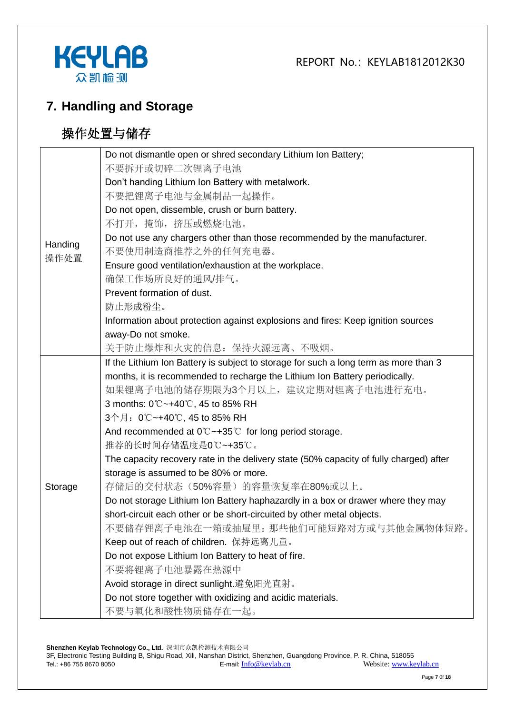



#### **7. Handling and Storage**

## 操作处置与储存

|         | Do not dismantle open or shred secondary Lithium Ion Battery;                          |
|---------|----------------------------------------------------------------------------------------|
|         | 不要拆开或切碎二次锂离子电池                                                                         |
|         | Don't handing Lithium Ion Battery with metalwork.                                      |
|         | 不要把锂离子电池与金属制品一起操作。                                                                     |
|         | Do not open, dissemble, crush or burn battery.                                         |
|         | 不打开,掩饰,挤压或燃烧电池。                                                                        |
| Handing | Do not use any chargers other than those recommended by the manufacturer.              |
| 操作处置    | 不要使用制造商推荐之外的任何充电器。                                                                     |
|         | Ensure good ventilation/exhaustion at the workplace.                                   |
|         | 确保工作场所良好的通风/排气。                                                                        |
|         | Prevent formation of dust.                                                             |
|         | 防止形成粉尘。                                                                                |
|         | Information about protection against explosions and fires: Keep ignition sources       |
|         | away-Do not smoke.                                                                     |
|         | 关于防止爆炸和火灾的信息: 保持火源远离、不吸烟。                                                              |
|         | If the Lithium Ion Battery is subject to storage for such a long term as more than 3   |
|         | months, it is recommended to recharge the Lithium Ion Battery periodically.            |
|         | 如果锂离子电池的储存期限为3个月以上,建议定期对锂离子电池进行充电。                                                     |
|         | 3 months: 0℃~+40℃, 45 to 85% RH                                                        |
|         | 3个月: 0℃~+40℃, 45 to 85% RH                                                             |
|         | And recommended at $0^{\circ}$ $\sim$ +35 $^{\circ}$ for long period storage.          |
|         | 推荐的长时间存储温度是0℃~+35℃。                                                                    |
|         | The capacity recovery rate in the delivery state (50% capacity of fully charged) after |
|         | storage is assumed to be 80% or more.                                                  |
| Storage | 存储后的交付状态(50%容量)的容量恢复率在80%或以上。                                                          |
|         | Do not storage Lithium Ion Battery haphazardly in a box or drawer where they may       |
|         | short-circuit each other or be short-circuited by other metal objects.                 |
|         | 不要储存锂离子电池在一箱或抽屉里: 那些他们可能短路对方或与其他金属物体短路。                                                |
|         | Keep out of reach of children. 保持远离儿童。                                                 |
|         | Do not expose Lithium Ion Battery to heat of fire.                                     |
|         | 不要将锂离子电池暴露在热源中                                                                         |
|         | Avoid storage in direct sunlight.避免阳光直射。                                               |
|         | Do not store together with oxidizing and acidic materials.                             |
|         | 不要与氧化和酸性物质储存在一起。                                                                       |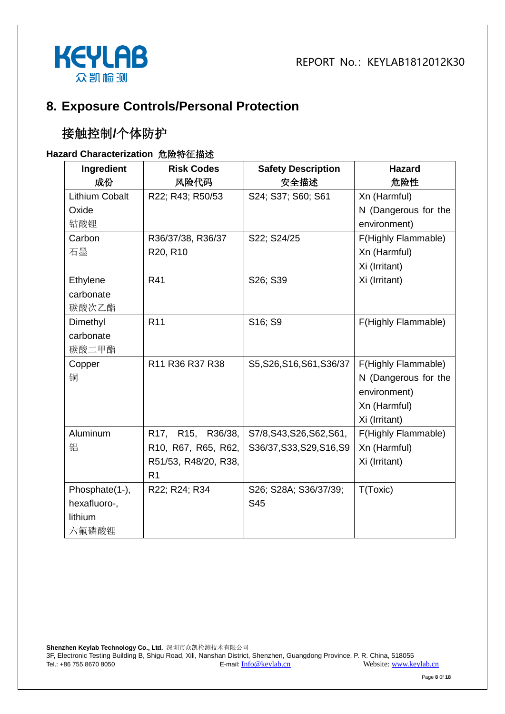

#### **8. Exposure Controls/Personal Protection**

#### 接触控制**/**个体防护

#### **Hazard Characterization** 危险特征描述

| Ingredient     | <b>Risk Codes</b>    | <b>Safety Description</b> | <b>Hazard</b>        |
|----------------|----------------------|---------------------------|----------------------|
| 成份             | 风险代码                 | 安全描述                      | 危险性                  |
| Lithium Cobalt | R22; R43; R50/53     | S24; S37; S60; S61        | Xn (Harmful)         |
| Oxide          |                      |                           | N (Dangerous for the |
| 钴酸锂            |                      |                           | environment)         |
| Carbon         | R36/37/38, R36/37    | S22; S24/25               | F(Highly Flammable)  |
| 石墨             | R20, R10             |                           | Xn (Harmful)         |
|                |                      |                           | Xi (Irritant)        |
| Ethylene       | R41                  | S26; S39                  | Xi (Irritant)        |
| carbonate      |                      |                           |                      |
| 碳酸次乙酯          |                      |                           |                      |
| Dimethyl       | R <sub>11</sub>      | S16; S9                   | F(Highly Flammable)  |
| carbonate      |                      |                           |                      |
| 碳酸二甲酯          |                      |                           |                      |
| Copper         | R11 R36 R37 R38      | S5, S26, S16, S61, S36/37 | F(Highly Flammable)  |
| 铜              |                      |                           | N (Dangerous for the |
|                |                      |                           | environment)         |
|                |                      |                           | Xn (Harmful)         |
|                |                      |                           | Xi (Irritant)        |
| Aluminum       | R17, R15, R36/38,    | S7/8, S43, S26, S62, S61, | F(Highly Flammable)  |
| 铝              | R10, R67, R65, R62,  | S36/37, S33, S29, S16, S9 | Xn (Harmful)         |
|                | R51/53, R48/20, R38, |                           | Xi (Irritant)        |
|                | R <sub>1</sub>       |                           |                      |
| Phosphate(1-), | R22; R24; R34        | S26; S28A; S36/37/39;     | T(Toxic)             |
| hexafluoro-,   |                      | S45                       |                      |
| lithium        |                      |                           |                      |
| 六氟磷酸锂          |                      |                           |                      |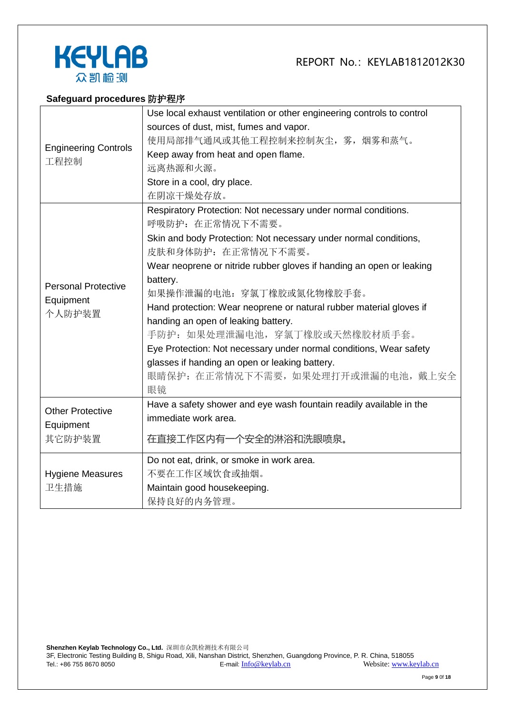



#### **Safeguard procedures** 防护程序

|                                     | Use local exhaust ventilation or other engineering controls to control |  |
|-------------------------------------|------------------------------------------------------------------------|--|
| <b>Engineering Controls</b><br>工程控制 | sources of dust, mist, fumes and vapor.                                |  |
|                                     | 使用局部排气通风或其他工程控制来控制灰尘, 雾, 烟雾和蒸气。                                        |  |
|                                     | Keep away from heat and open flame.                                    |  |
|                                     | 远离热源和火源。                                                               |  |
|                                     | Store in a cool, dry place.                                            |  |
|                                     | 在阴凉干燥处存放。                                                              |  |
|                                     | Respiratory Protection: Not necessary under normal conditions.         |  |
|                                     | 呼吸防护: 在正常情况下不需要。                                                       |  |
|                                     | Skin and body Protection: Not necessary under normal conditions,       |  |
|                                     | 皮肤和身体防护: 在正常情况下不需要。                                                    |  |
|                                     | Wear neoprene or nitride rubber gloves if handing an open or leaking   |  |
| <b>Personal Protective</b>          | battery.                                                               |  |
| Equipment                           | 如果操作泄漏的电池: 穿氯丁橡胶或氮化物橡胶手套。                                              |  |
| 个人防护装置                              | Hand protection: Wear neoprene or natural rubber material gloves if    |  |
|                                     | handing an open of leaking battery.                                    |  |
|                                     | 手防护: 如果处理泄漏电池, 穿氯丁橡胶或天然橡胶材质手套。                                         |  |
|                                     | Eye Protection: Not necessary under normal conditions, Wear safety     |  |
|                                     | glasses if handing an open or leaking battery.                         |  |
|                                     | 眼睛保护: 在正常情况下不需要, 如果处理打开或泄漏的电池, 戴上安全                                    |  |
|                                     | 眼镜                                                                     |  |
| <b>Other Protective</b>             | Have a safety shower and eye wash fountain readily available in the    |  |
| Equipment                           | immediate work area.                                                   |  |
| 其它防护装置                              | 在直接工作区内有一个安全的淋浴和洗眼喷泉。                                                  |  |
|                                     |                                                                        |  |
|                                     | Do not eat, drink, or smoke in work area.                              |  |
| <b>Hygiene Measures</b>             | 不要在工作区域饮食或抽烟。                                                          |  |
| 卫生措施                                | Maintain good housekeeping.                                            |  |
|                                     | 保持良好的内务管理。                                                             |  |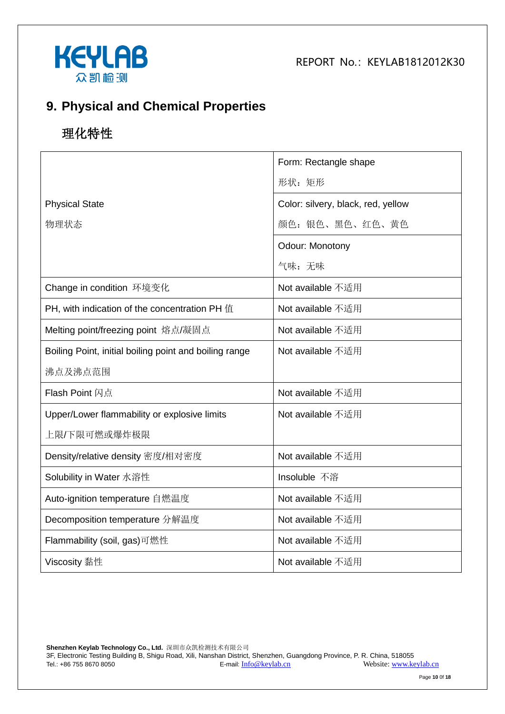



#### **9. Physical and Chemical Properties**

## 理化特性

|                                                        | Form: Rectangle shape              |
|--------------------------------------------------------|------------------------------------|
|                                                        | 形状: 矩形                             |
| <b>Physical State</b>                                  | Color: silvery, black, red, yellow |
| 物理状态                                                   | 颜色: 银色、黑色、红色、黄色                    |
|                                                        | Odour: Monotony                    |
|                                                        | 气味:无味                              |
| Change in condition 环境变化                               | Not available 不适用                  |
| PH, with indication of the concentration PH 值          | Not available 不适用                  |
| Melting point/freezing point 熔点/凝固点                    | Not available 不适用                  |
| Boiling Point, initial boiling point and boiling range | Not available 不适用                  |
| 沸点及沸点范围                                                |                                    |
| <b>Flash Point 闪点</b>                                  | Not available 不适用                  |
| Upper/Lower flammability or explosive limits           | Not available 不适用                  |
| 上限/下限可燃或爆炸极限                                           |                                    |
| Density/relative density 密度/相对密度                       | Not available 不适用                  |
| Solubility in Water 水溶性                                | Insoluble 不溶                       |
| Auto-ignition temperature 自燃温度                         | Not available 不适用                  |
| Decomposition temperature 分解温度                         | Not available 不适用                  |
| Flammability (soil, gas)可燃性                            | Not available 不适用                  |
| Viscosity 黏性                                           | Not available 不适用                  |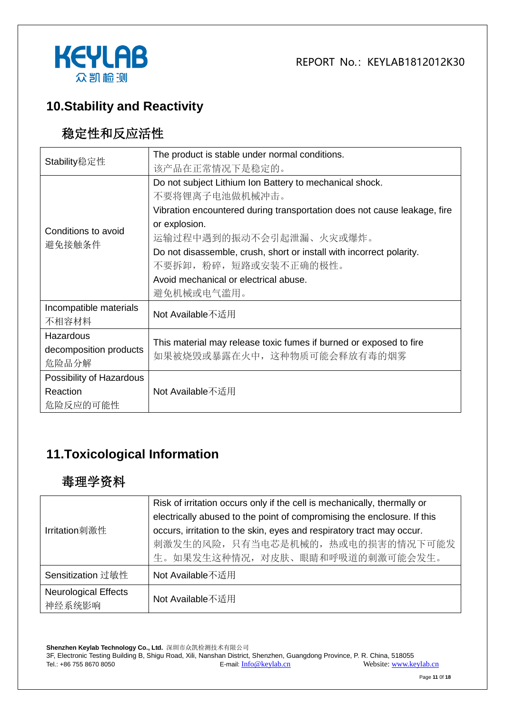



#### **10.Stability and Reactivity**

#### 稳定性和反应活性

| Stability稳定性             | The product is stable under normal conditions.                           |  |  |
|--------------------------|--------------------------------------------------------------------------|--|--|
|                          | 该产品在正常情况下是稳定的。                                                           |  |  |
|                          | Do not subject Lithium Ion Battery to mechanical shock.                  |  |  |
|                          | 不要将锂离子电池做机械冲击。                                                           |  |  |
|                          | Vibration encountered during transportation does not cause leakage, fire |  |  |
| Conditions to avoid      | or explosion.                                                            |  |  |
| 避免接触条件                   | 运输过程中遇到的振动不会引起泄漏、火灾或爆炸。                                                  |  |  |
|                          | Do not disassemble, crush, short or install with incorrect polarity.     |  |  |
|                          | 不要拆卸, 粉碎, 短路或安装不正确的极性。                                                   |  |  |
|                          | Avoid mechanical or electrical abuse.                                    |  |  |
|                          | 避免机械或电气滥用。                                                               |  |  |
| Incompatible materials   | Not Available不适用                                                         |  |  |
| 不相容材料                    |                                                                          |  |  |
| Hazardous                | This material may release toxic fumes if burned or exposed to fire       |  |  |
| decomposition products   | 如果被烧毁或暴露在火中, 这种物质可能会释放有毒的烟雾                                              |  |  |
| 危险品分解                    |                                                                          |  |  |
| Possibility of Hazardous |                                                                          |  |  |
| Reaction                 | Not Available不适用                                                         |  |  |
| 危险反应的可能性                 |                                                                          |  |  |

#### **11.Toxicological Information**

#### 毒理学资料

|                             | Risk of irritation occurs only if the cell is mechanically, thermally or |  |  |
|-----------------------------|--------------------------------------------------------------------------|--|--|
|                             | electrically abused to the point of compromising the enclosure. If this  |  |  |
| Irritation刺激性               | occurs, irritation to the skin, eyes and respiratory tract may occur.    |  |  |
|                             | 刺激发生的风险, 只有当电芯是机械的, 热或电的损害的情况下可能发                                        |  |  |
|                             | 生。如果发生这种情况, 对皮肤、眼睛和呼吸道的刺激可能会发生。                                          |  |  |
| Sensitization 过敏性           | Not Available不适用                                                         |  |  |
| <b>Neurological Effects</b> | Not Available不适用                                                         |  |  |
| 神经系统影响                      |                                                                          |  |  |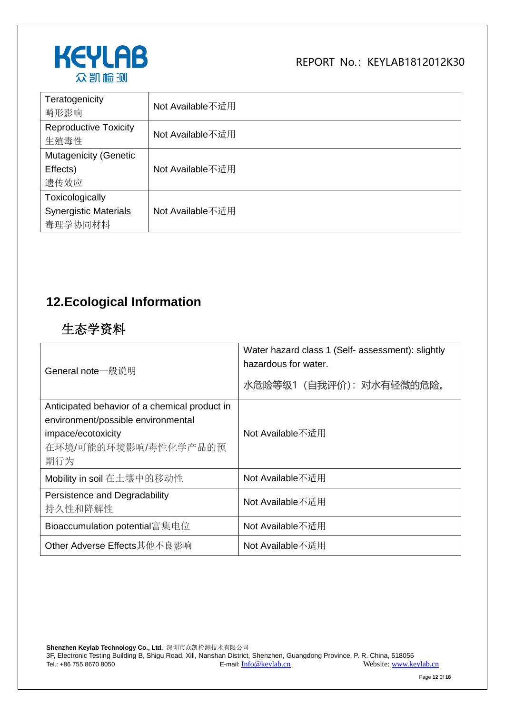

| Teratogenicity<br>畸形影响                                     | Not Available不适用 |
|------------------------------------------------------------|------------------|
| <b>Reproductive Toxicity</b><br>生殖毒性                       | Not Available不适用 |
| <b>Mutagenicity (Genetic</b><br>Effects)<br>遗传效应           | Not Available不适用 |
| Toxicologically<br><b>Synergistic Materials</b><br>毒理学协同材料 | Not Available不适用 |

#### **12.Ecological Information**

#### 生态学资料

| General note一般说明                                                                                                                         | Water hazard class 1 (Self- assessment): slightly<br>hazardous for water.<br>水危险等级1 (自我评价): 对水有轻微的危险。 |
|------------------------------------------------------------------------------------------------------------------------------------------|-------------------------------------------------------------------------------------------------------|
| Anticipated behavior of a chemical product in<br>environment/possible environmental<br>impace/ecotoxicity<br>在环境/可能的环境影响/毒性化学产品的预<br>期行为 | Not Available不适用                                                                                      |
| Mobility in soil 在土壤中的移动性                                                                                                                | Not Available不适用                                                                                      |
| Persistence and Degradability<br>持久性和降解性                                                                                                 | Not Available不适用                                                                                      |
| Bioaccumulation potential富集电位                                                                                                            | Not Available不适用                                                                                      |
| Other Adverse Effects其他不良影响                                                                                                              | Not Available不适用                                                                                      |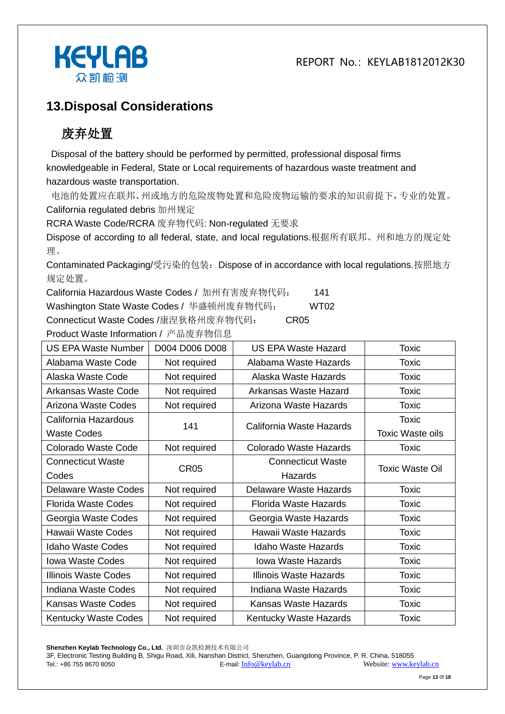REPORT  $No:KFVI AB1812012K30$ 



#### **13.Disposal Considerations**

## 废弃处置

Disposal of the battery should be performed by permitted, professional disposal firms knowledgeable in Federal, State or Local requirements of hazardous waste treatment and hazardous waste transportation.

电池的处置应在联邦、州或地方的危险废物处置和危险废物运输的要求的知识前提下,专业的处置。 California regulated debris 加州规定

RCRA Waste Code/RCRA 废弃物代码: Non-regulated 无要求

Dispose of according to all federal, state, and local regulations.根据所有联邦、州和地方的规定处 理。

Contaminated Packaging/受污染的包装:Dispose of in accordance with local regulations.按照地方 规定处置。

California Hazardous Waste Codes / 加州有害废弃物代码: 141

Washington State Waste Codes / 华盛顿州废弃物代码: WT02

Connecticut Waste Codes /康涅狄格州废弃物代码: CR05

Product Waste Information / 产品废弃物信息 US EPA Waste Number | D004 D006 D008 | US EPA Waste Hazard | Toxic Alabama Waste Code | Not required | Alabama Waste Hazards | Toxic Alaska Waste Code | Not required | Alaska Waste Hazards | Toxic Arkansas Waste Code | Not required | Arkansas Waste Hazard | Toxic Arizona Waste Codes | Not required | Arizona Waste Hazards | Toxic California Hazardous Waste Codes 141 California Waste Hazards Toxic Toxic Waste oils Colorado Waste Code | Not required | Colorado Waste Hazards | Toxic Connecticut Waste Codes CR05 Connecticut Waste **Hazards** Toxic Waste Oil Delaware Waste Codes | Not required | Delaware Waste Hazards | Toxic Florida Waste Codes | Not required | Florida Waste Hazards | Toxic Georgia Waste Codes | Not required | Georgia Waste Hazards | Toxic Hawaii Waste Codes | Not required | Hawaii Waste Hazards | Toxic Idaho Waste Codes | Not required | Idaho Waste Hazards | Toxic Iowa Waste Codes | Not required | Iowa Waste Hazards | Toxic Illinois Waste Codes | Not required | Illinois Waste Hazards | Toxic Indiana Waste Codes | Not required | Indiana Waste Hazards | Toxic Kansas Waste Codes | Not required | Kansas Waste Hazards | Toxic Kentucky Waste Codes Not required Kentucky Waste Hazards Noxic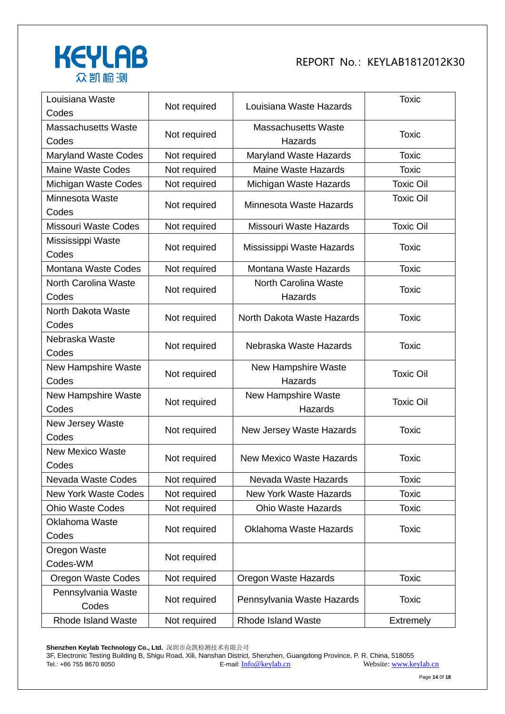

| Louisiana Waste<br>Codes            | Not required | Louisiana Waste Hazards               | <b>Toxic</b>     |
|-------------------------------------|--------------|---------------------------------------|------------------|
| <b>Massachusetts Waste</b><br>Codes | Not required | <b>Massachusetts Waste</b><br>Hazards | <b>Toxic</b>     |
| <b>Maryland Waste Codes</b>         | Not required | Maryland Waste Hazards                | <b>Toxic</b>     |
| <b>Maine Waste Codes</b>            | Not required | <b>Maine Waste Hazards</b>            | <b>Toxic</b>     |
| Michigan Waste Codes                | Not required | Michigan Waste Hazards                | <b>Toxic Oil</b> |
| Minnesota Waste<br>Codes            | Not required | Minnesota Waste Hazards               | <b>Toxic Oil</b> |
| <b>Missouri Waste Codes</b>         | Not required | Missouri Waste Hazards                | <b>Toxic Oil</b> |
| Mississippi Waste<br>Codes          | Not required | Mississippi Waste Hazards             | <b>Toxic</b>     |
| Montana Waste Codes                 | Not required | Montana Waste Hazards                 | <b>Toxic</b>     |
| North Carolina Waste<br>Codes       | Not required | North Carolina Waste<br>Hazards       | <b>Toxic</b>     |
| North Dakota Waste<br>Codes         | Not required | North Dakota Waste Hazards            | <b>Toxic</b>     |
| Nebraska Waste<br>Codes             | Not required | Nebraska Waste Hazards                | <b>Toxic</b>     |
| New Hampshire Waste<br>Codes        | Not required | New Hampshire Waste<br>Hazards        | <b>Toxic Oil</b> |
| New Hampshire Waste<br>Codes        | Not required | <b>New Hampshire Waste</b><br>Hazards | <b>Toxic Oil</b> |
| New Jersey Waste<br>Codes           | Not required | New Jersey Waste Hazards              | <b>Toxic</b>     |
| <b>New Mexico Waste</b><br>Codes    | Not required | <b>New Mexico Waste Hazards</b>       | <b>Toxic</b>     |
| Nevada Waste Codes                  | Not required | Nevada Waste Hazards                  | <b>Toxic</b>     |
| <b>New York Waste Codes</b>         | Not required | <b>New York Waste Hazards</b>         | <b>Toxic</b>     |
| <b>Ohio Waste Codes</b>             | Not required | <b>Ohio Waste Hazards</b>             | <b>Toxic</b>     |
| Oklahoma Waste<br>Codes             | Not required | Oklahoma Waste Hazards                | <b>Toxic</b>     |
| Oregon Waste<br>Codes-WM            | Not required |                                       |                  |
| <b>Oregon Waste Codes</b>           | Not required | Oregon Waste Hazards                  | <b>Toxic</b>     |
| Pennsylvania Waste<br>Codes         | Not required | Pennsylvania Waste Hazards            | <b>Toxic</b>     |
| Rhode Island Waste                  | Not required | <b>Rhode Island Waste</b>             | Extremely        |

**Shenzhen Keylab Technology Co., Ltd.** 深圳市众凯检测技术有限公司

3F, Electronic Testing Building B, Shigu Road, Xili, Nanshan District, Shenzhen, Guangdong Province, P. R. China, 518055 Tel.: +86 755 8670 8050 **E-mail:** [Info@keylab.cn](mailto:Info@keylab.cn) Website[: www.keylab.cn](http://www.keylab.cn/)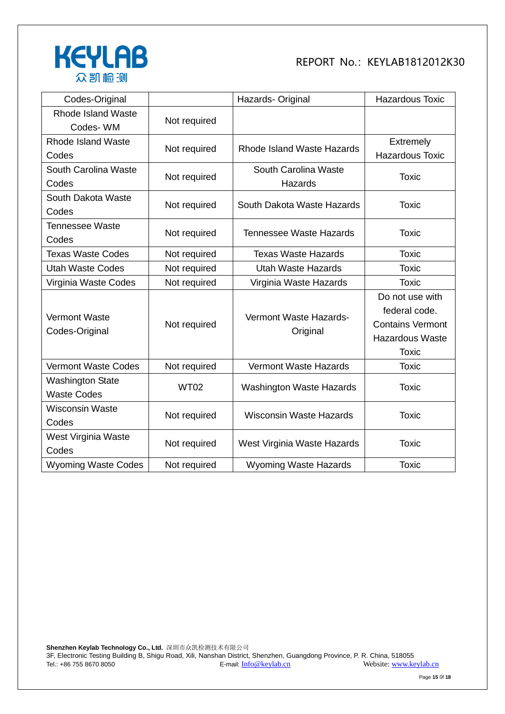

| Codes-Original             |              | Hazards- Original                  | <b>Hazardous Toxic</b>  |
|----------------------------|--------------|------------------------------------|-------------------------|
| <b>Rhode Island Waste</b>  |              |                                    |                         |
| Codes-WM                   | Not required |                                    |                         |
| Rhode Island Waste         | Not required | Rhode Island Waste Hazards         | <b>Extremely</b>        |
| Codes                      |              |                                    | <b>Hazardous Toxic</b>  |
| South Carolina Waste       | Not required | South Carolina Waste               |                         |
| Codes                      |              | Hazards                            | <b>Toxic</b>            |
| South Dakota Waste         | Not required | South Dakota Waste Hazards         | <b>Toxic</b>            |
| Codes                      |              |                                    |                         |
| <b>Tennessee Waste</b>     |              | <b>Tennessee Waste Hazards</b>     |                         |
| Codes                      | Not required |                                    | <b>Toxic</b>            |
| <b>Texas Waste Codes</b>   | Not required | <b>Texas Waste Hazards</b>         | <b>Toxic</b>            |
| <b>Utah Waste Codes</b>    | Not required | <b>Utah Waste Hazards</b>          | <b>Toxic</b>            |
| Virginia Waste Codes       | Not required | Virginia Waste Hazards             | <b>Toxic</b>            |
|                            |              |                                    | Do not use with         |
| <b>Vermont Waste</b>       |              | Vermont Waste Hazards-<br>Original | federal code.           |
| Codes-Original             | Not required |                                    | <b>Contains Vermont</b> |
|                            |              |                                    | <b>Hazardous Waste</b>  |
|                            |              |                                    | <b>Toxic</b>            |
| <b>Vermont Waste Codes</b> | Not required | <b>Vermont Waste Hazards</b>       | <b>Toxic</b>            |
| <b>Washington State</b>    |              |                                    |                         |
| <b>Waste Codes</b>         | <b>WT02</b>  | <b>Washington Waste Hazards</b>    | <b>Toxic</b>            |
| <b>Wisconsin Waste</b>     | Not required |                                    |                         |
| Codes                      |              | <b>Wisconsin Waste Hazards</b>     | <b>Toxic</b>            |
| West Virginia Waste        |              |                                    |                         |
| Codes                      | Not required | West Virginia Waste Hazards        | <b>Toxic</b>            |
| <b>Wyoming Waste Codes</b> | Not required | <b>Wyoming Waste Hazards</b>       | <b>Toxic</b>            |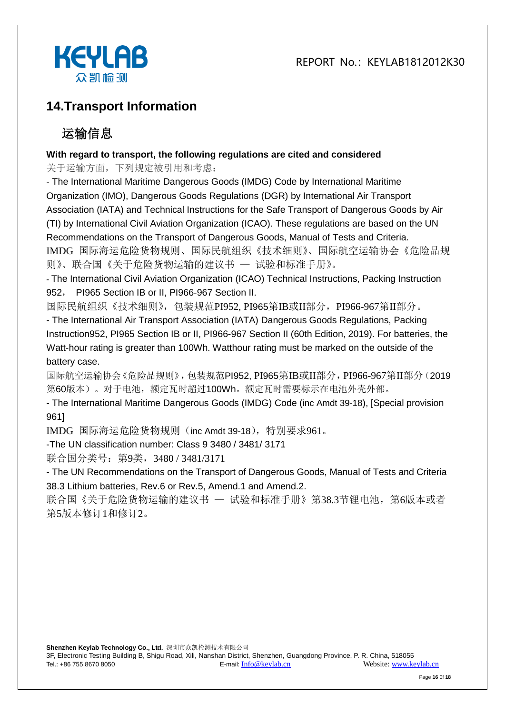REPORT  $No:KFVI AB1812012K30$ 



#### **14.Transport Information**

## 运输信息

#### **With regard to transport, the following regulations are cited and considered**

关于运输方面,下列规定被引用和考虑:

- The International Maritime Dangerous Goods (IMDG) Code by International Maritime Organization (IMO), Dangerous Goods Regulations (DGR) by International Air Transport Association (IATA) and Technical Instructions for the Safe Transport of Dangerous Goods by Air (TI) by International Civil Aviation Organization (ICAO). These regulations are based on the UN Recommendations on the Transport of Dangerous Goods, Manual of Tests and Criteria. IMDG 国际海运危险货物规则、国际民航组织《技术细则》、国际航空运输协会《危险品规 则》、联合国《关于危险货物运输的建议书 — 试验和标准手册》。

- The International Civil Aviation Organization (ICAO) Technical Instructions, Packing Instruction 952, PI965 Section IB or II, PI966-967 Section II.

国际民航组织《技术细则》,包装规范PI952, PI965第IB或II部分,PI966-967第II部分。

- The International Air Transport Association (IATA) Dangerous Goods Regulations, Packing Instruction952, PI965 Section IB or II, PI966-967 Section II (60th Edition, 2019). For batteries, the Watt-hour rating is greater than 100Wh. Watthour rating must be marked on the outside of the battery case.

国际航空运输协会《危险品规则》,包装规范PI952, PI965第IB或II部分,PI966-967第II部分(2019 第60版本)。对于电池,额定瓦时超过100Wh。额定瓦时需要标示在电池外壳外部。

- The International Maritime Dangerous Goods (IMDG) Code (inc Amdt 39-18), [Special provision 961]

IMDG 国际海运危险货物规则(inc Amdt 39-18), 特别要求961。

-The UN classification number: Class 9 3480 / 3481/ 3171

联合国分类号: 第9类, 3480 / 3481/3171

- The UN Recommendations on the Transport of Dangerous Goods, Manual of Tests and Criteria 38.3 Lithium batteries, Rev.6 or Rev.5, Amend.1 and Amend.2.

联合国《关于危险货物运输的建议书 — 试验和标准手册》第38.3节锂电池, 第6版本或者 第5版本修订1和修订2。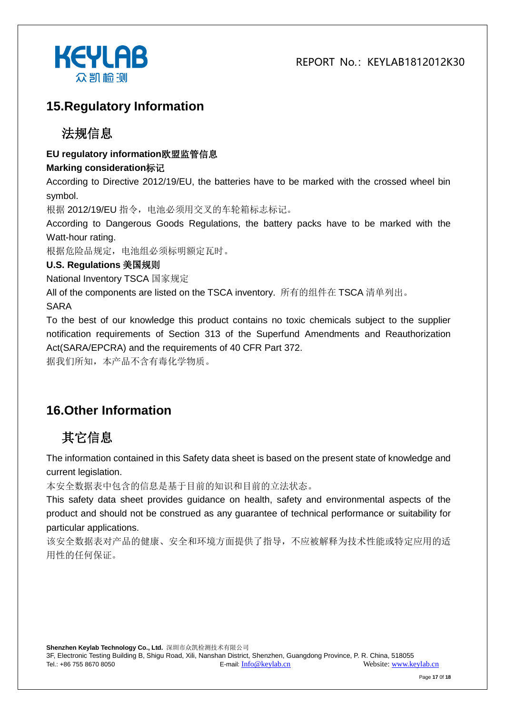

#### **15.Regulatory Information**

#### 法规信息

#### **EU regulatory information**欧盟监管信息

#### **Marking consideration**标记

According to Directive 2012/19/EU, the batteries have to be marked with the crossed wheel bin symbol.

根据 2012/19/EU 指令,电池必须用交叉的车轮箱标志标记。

According to Dangerous Goods Regulations, the battery packs have to be marked with the Watt-hour rating.

根据危险品规定,电池组必须标明额定瓦时。

#### **U.S. Regulations** 美国规则

National Inventory TSCA 国家规定

All of the components are listed on the TSCA inventory. 所有的组件在 TSCA 清单列出。

SARA

To the best of our knowledge this product contains no toxic chemicals subject to the supplier notification requirements of Section 313 of the Superfund Amendments and Reauthorization Act(SARA/EPCRA) and the requirements of 40 CFR Part 372.

据我们所知,本产品不含有毒化学物质。

#### **16.Other Information**

## 其它信息

The information contained in this Safety data sheet is based on the present state of knowledge and current legislation.

本安全数据表中包含的信息是基于目前的知识和目前的立法状态。

This safety data sheet provides guidance on health, safety and environmental aspects of the product and should not be construed as any guarantee of technical performance or suitability for particular applications.

该安全数据表对产品的健康、安全和环境方面提供了指导,不应被解释为技术性能或特定应用的适 用性的任何保证。